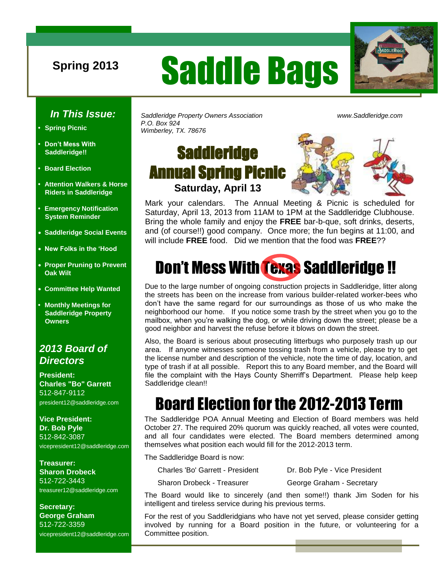# **Spring 2013** Saddle Bags



#### *In This Issue:*

- **• Spring Picnic**
- **• Don't Mess With Saddleridge!!**
- **• Board Election**
- **• Attention Walkers & Horse Riders in Saddleridge**
- **• Emergency Notification System Reminder**
- **Saddleridge Social Events**
- **New Folks in the 'Hood**
- **Proper Pruning to Prevent Oak Wilt**
- **Committee Help Wanted**
- **• Monthly Meetings for Saddleridge Property Owners**

#### *2013 Board of Directors*

**President: Charles "Bo" Garrett**  512-847-9112 president12@saddleridge.com

**Vice President: Dr. Bob Pyle** 512-842-3087 vicepresident12@saddleridge.com

**Treasurer: Sharon Drobeck** 512-722-3443 treasurer12@saddleridge.com

**Secretary: George Graham** 512-722-3359 vicepresident12@saddleridge.com *Saddleridge Property Owners Association www.Saddleridge.com P.O. Box 924 Wimberley, TX. 78676*

### **Saddleridge** Annual Spring Picnic **Saturday, April 13**



Mark your calendars. The Annual Meeting & Picnic is scheduled for Saturday, April 13, 2013 from 11AM to 1PM at the Saddleridge Clubhouse. Bring the whole family and enjoy the **FREE** bar-b-que, soft drinks, deserts, and (of course!!) good company. Once more; the fun begins at 11:00, and will include **FREE** food. Did we mention that the food was **FREE**??

# Don't Mess With Texas Saddleridge !!

Due to the large number of ongoing construction projects in Saddleridge, litter along the streets has been on the increase from various builder-related worker-bees who don't have the same regard for our surroundings as those of us who make the neighborhood our home. If you notice some trash by the street when you go to the mailbox, when you're walking the dog, or while driving down the street; please be a good neighbor and harvest the refuse before it blows on down the street.

Also, the Board is serious about prosecuting litterbugs who purposely trash up our area. If anyone witnesses someone tossing trash from a vehicle, please try to get the license number and description of the vehicle, note the time of day, location, and type of trash if at all possible. Report this to any Board member, and the Board will file the complaint with the Hays County Sherriff's Department. Please help keep Saddleridge clean!!

# Board Election for the 2012-2013 Term

The Saddleridge POA Annual Meeting and Election of Board members was held October 27. The required 20% quorum was quickly reached, all votes were counted, and all four candidates were elected. The Board members determined among themselves what position each would fill for the 2012-2013 term.

The Saddleridge Board is now:

Charles 'Bo' Garrett - President Dr. Bob Pyle - Vice President

Sharon Drobeck - Treasurer George Graham - Secretary

The Board would like to sincerely (and then some!!) thank Jim Soden for his intelligent and tireless service during his previous terms.

For the rest of you Saddleridgians who have not yet served, please consider getting involved by running for a Board position in the future, or volunteering for a Committee position.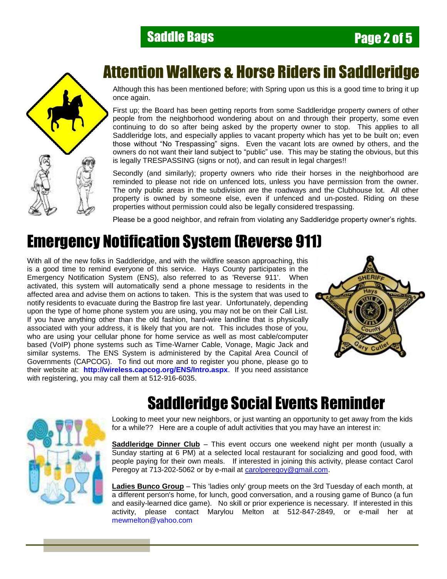#### **Saddle Bags Page 2 of 5**



### Attention Walkers & Horse Riders in Saddleridge

Although this has been mentioned before; with Spring upon us this is a good time to bring it up once again.

First up; the Board has been getting reports from some Saddleridge property owners of other people from the neighborhood wondering about on and through their property, some even continuing to do so after being asked by the property owner to stop. This applies to all Saddleridge lots, and especially applies to vacant property which has yet to be built on; even those without "No Trespassing" signs. Even the vacant lots are owned by others, and the owners do not want their land subject to "public" use. This may be stating the obvious, but this is legally TRESPASSING (signs or not), and can result in legal charges!!

Secondly (and similarly); property owners who ride their horses in the neighborhood are reminded to please not ride on unfenced lots, unless you have permission from the owner. The only public areas in the subdivision are the roadways and the Clubhouse lot. All other property is owned by someone else, even if unfenced and un-posted. Riding on these properties without permission could also be legally considered trespassing.

Please be a good neighbor, and refrain from violating any Saddleridge property owner's rights.

# Emergency Notification System (Reverse 911)

With all of the new folks in Saddleridge, and with the wildfire season approaching, this is a good time to remind everyone of this service. Hays County participates in the Emergency Notification System (ENS), also referred to as 'Reverse 911'. When activated, this system will automatically send a phone message to residents in the affected area and advise them on actions to taken. This is the system that was used to notify residents to evacuate during the Bastrop fire last year. Unfortunately, depending upon the type of home phone system you are using, you may not be on their Call List. If you have anything other than the old fashion, hard-wire landline that is physically associated with your address, it is likely that you are not. This includes those of you, who are using your cellular phone for home service as well as most cable/computer based (VoIP) phone systems such as Time-Warner Cable, Vonage, Magic Jack and similar systems. The ENS System is administered by the Capital Area Council of Governments (CAPCOG). To find out more and to register you phone, please go to their website at: **http://wireless.capcog.org/ENS/Intro.aspx**. If you need assistance with registering, you may call them at 512-916-6035.





## Saddleridge Social Events Reminder

Looking to meet your new neighbors, or just wanting an opportunity to get away from the kids for a while?? Here are a couple of adult activities that you may have an interest in:

**Saddleridge Dinner Club** – This event occurs one weekend night per month (usually a Sunday starting at 6 PM) at a selected local restaurant for socializing and good food, with people paying for their own meals. If interested in joining this activity, please contact Carol Peregoy at 713-202-5062 or by e-mail at [carolperegoy@gmail.com.](mailto:carolperegoy@gmail.com)

**Ladies Bunco Group** – This 'ladies only' group meets on the 3rd Tuesday of each month, at a different person's home, for lunch, good conversation, and a rousing game of Bunco (a fun and easily-learned dice game). No skill or prior experience is necessary. If interested in this activity, please contact Marylou Melton at 512-847-2849, or e-mail her at [mewmelton@yahoo.com](mailto:mewmelton@yahoo.com)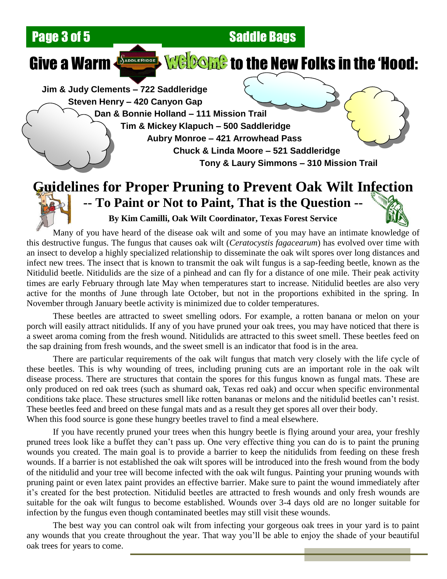**Page 3 of 5 Saddle Bags** 

# Give a Warm  $\left\{\frac{S_{\text{observed}}}{S_{\text{obs}}}\right\}$  (Nelogials to the New Folks in the 'Hood:

**Jim & Judy Clements – 722 Saddleridge Steven Henry – 420 Canyon Gap Dan & Bonnie Holland – 111 Mission Trail Tim & Mickey Klapuch – 500 Saddleridge**

**Aubry Monroe – 421 Arrowhead Pass Chuck & Linda Moore – 521 Saddleridge Tony & Laury Simmons – 310 Mission Trail**

#### **Guidelines for Proper Pruning to Prevent Oak Wilt Infection -- To Paint or Not to Paint, That is the Question --**

**By Kim Camilli, Oak Wilt Coordinator, Texas Forest Service**

Many of you have heard of the disease oak wilt and some of you may have an intimate knowledge of this destructive fungus. The fungus that causes oak wilt (*Ceratocystis fagacearum*) has evolved over time with an insect to develop a highly specialized relationship to disseminate the oak wilt spores over long distances and infect new trees. The insect that is known to transmit the oak wilt fungus is a sap-feeding beetle, known as the Nitidulid beetle. Nitidulids are the size of a pinhead and can fly for a distance of one mile. Their peak activity times are early February through late May when temperatures start to increase. Nitidulid beetles are also very active for the months of June through late October, but not in the proportions exhibited in the spring. In November through January beetle activity is minimized due to colder temperatures.

These beetles are attracted to sweet smelling odors. For example, a rotten banana or melon on your porch will easily attract nitidulids. If any of you have pruned your oak trees, you may have noticed that there is a sweet aroma coming from the fresh wound. Nitidulids are attracted to this sweet smell. These beetles feed on the sap draining from fresh wounds, and the sweet smell is an indicator that food is in the area.

There are particular requirements of the oak wilt fungus that match very closely with the life cycle of these beetles. This is why wounding of trees, including pruning cuts are an important role in the oak wilt disease process. There are structures that contain the spores for this fungus known as fungal mats. These are only produced on red oak trees (such as shumard oak, Texas red oak) and occur when specific environmental conditions take place. These structures smell like rotten bananas or melons and the nitidulid beetles can't resist. These beetles feed and breed on these fungal mats and as a result they get spores all over their body. When this food source is gone these hungry beetles travel to find a meal elsewhere.

If you have recently pruned your trees when this hungry beetle is flying around your area, your freshly pruned trees look like a buffet they can't pass up. One very effective thing you can do is to paint the pruning wounds you created. The main goal is to provide a barrier to keep the nitidulids from feeding on these fresh wounds. If a barrier is not established the oak wilt spores will be introduced into the fresh wound from the body of the nitidulid and your tree will become infected with the oak wilt fungus. Painting your pruning wounds with pruning paint or even latex paint provides an effective barrier. Make sure to paint the wound immediately after it's created for the best protection. Nitidulid beetles are attracted to fresh wounds and only fresh wounds are suitable for the oak wilt fungus to become established. Wounds over 3-4 days old are no longer suitable for infection by the fungus even though contaminated beetles may still visit these wounds.

The best way you can control oak wilt from infecting your gorgeous oak trees in your yard is to paint any wounds that you create throughout the year. That way you'll be able to enjoy the shade of your beautiful oak trees for years to come.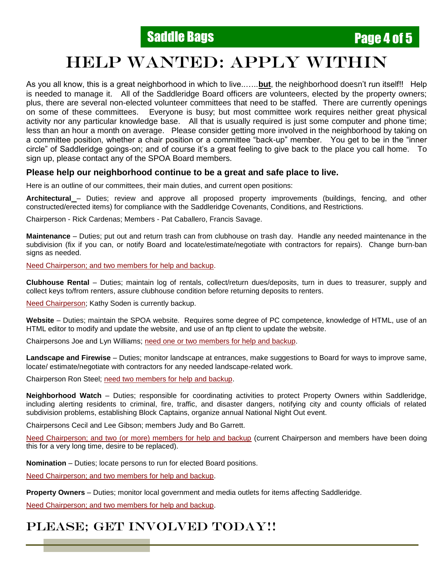### HELP WANTED: APPLY WITHIN

As you all know, this is a great neighborhood in which to live..…..**but**, the neighborhood doesn't run itself!! Help is needed to manage it. All of the Saddleridge Board officers are volunteers, elected by the property owners; plus, there are several non-elected volunteer committees that need to be staffed. There are currently openings on some of these committees. Everyone is busy; but most committee work requires neither great physical activity nor any particular knowledge base. All that is usually required is just some computer and phone time; less than an hour a month on average. Please consider getting more involved in the neighborhood by taking on a committee position, whether a chair position or a committee "back-up" member. You get to be in the "inner circle" of Saddleridge goings-on; and of course it's a great feeling to give back to the place you call home. To sign up, please contact any of the SPOA Board members.

#### **Please help our neighborhood continue to be a great and safe place to live.**

Here is an outline of our committees, their main duties, and current open positions:

**Architectural** – Duties; review and approve all proposed property improvements (buildings, fencing, and other constructed/erected items) for compliance with the Saddleridge Covenants, Conditions, and Restrictions.

Chairperson - Rick Cardenas; Members - Pat Caballero, Francis Savage.

**Maintenance** – Duties; put out and return trash can from clubhouse on trash day. Handle any needed maintenance in the subdivision (fix if you can, or notify Board and locate/estimate/negotiate with contractors for repairs). Change burn-ban signs as needed.

Need Chairperson; and two members for help and backup.

**Clubhouse Rental** – Duties; maintain log of rentals, collect/return dues/deposits, turn in dues to treasurer, supply and collect keys to/from renters, assure clubhouse condition before returning deposits to renters.

Need Chairperson; Kathy Soden is currently backup.

**Website** – Duties; maintain the SPOA website. Requires some degree of PC competence, knowledge of HTML, use of an HTML editor to modify and update the website, and use of an ftp client to update the website.

Chairpersons Joe and Lyn Williams; need one or two members for help and backup.

**Landscape and Firewise** – Duties; monitor landscape at entrances, make suggestions to Board for ways to improve same, locate/ estimate/negotiate with contractors for any needed landscape-related work.

Chairperson Ron Steel; need two members for help and backup.

**Neighborhood Watch** – Duties; responsible for coordinating activities to protect Property Owners within Saddleridge, including alerting residents to criminal, fire, traffic, and disaster dangers, notifying city and county officials of related subdivision problems, establishing Block Captains, organize annual National Night Out event.

Chairpersons Cecil and Lee Gibson; members Judy and Bo Garrett.

Need Chairperson; and two (or more) members for help and backup (current Chairperson and members have been doing this for a very long time, desire to be replaced).

**Nomination** – Duties; locate persons to run for elected Board positions.

Need Chairperson; and two members for help and backup.

**Property Owners** – Duties; monitor local government and media outlets for items affecting Saddleridge.

Need Chairperson; and two members for help and backup.

#### PLEASE; GET INVOLVED TODAY!!